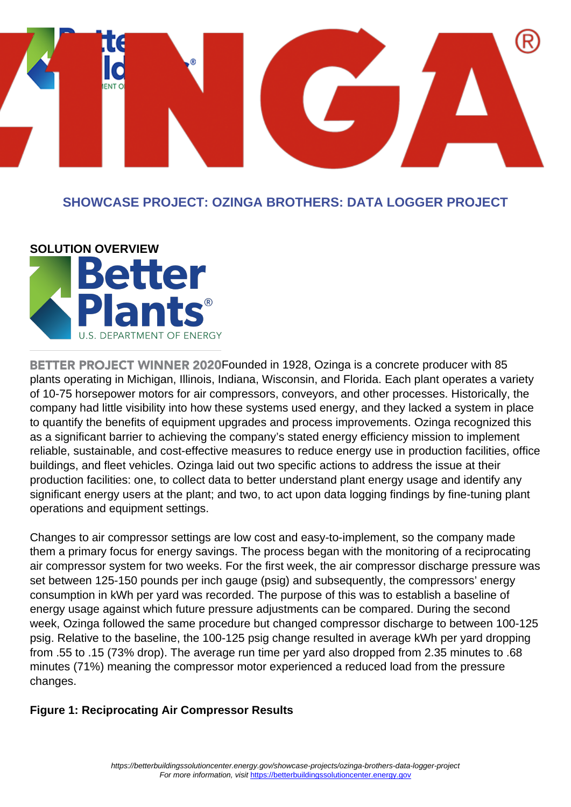

### **SHOWCASE PROJECT: OZINGA BROTHERS: DATA LOGGER PROJECT**



**BETTER PROJECT WINNER 2020Founded in 1928. Ozinga is a concrete producer with 85** plants operating in Michigan, Illinois, Indiana, Wisconsin, and Florida. Each plant operates a variety of 10-75 horsepower motors for air compressors, conveyors, and other processes. Historically, the company had little visibility into how these systems used energy, and they lacked a system in place to quantify the benefits of equipment upgrades and process improvements. Ozinga recognized this as a significant barrier to achieving the company's stated energy efficiency mission to implement reliable, sustainable, and cost-effective measures to reduce energy use in production facilities, office buildings, and fleet vehicles. Ozinga laid out two specific actions to address the issue at their production facilities: one, to collect data to better understand plant energy usage and identify any significant energy users at the plant; and two, to act upon data logging findings by fine-tuning plant operations and equipment settings.

Changes to air compressor settings are low cost and easy-to-implement, so the company made them a primary focus for energy savings. The process began with the monitoring of a reciprocating air compressor system for two weeks. For the first week, the air compressor discharge pressure was set between 125-150 pounds per inch gauge (psig) and subsequently, the compressors' energy consumption in kWh per yard was recorded. The purpose of this was to establish a baseline of energy usage against which future pressure adjustments can be compared. During the second week, Ozinga followed the same procedure but changed compressor discharge to between 100-125 psig. Relative to the baseline, the 100-125 psig change resulted in average kWh per yard dropping from .55 to .15 (73% drop). The average run time per yard also dropped from 2.35 minutes to .68 minutes (71%) meaning the compressor motor experienced a reduced load from the pressure changes.

### **Figure 1: Reciprocating Air Compressor Results**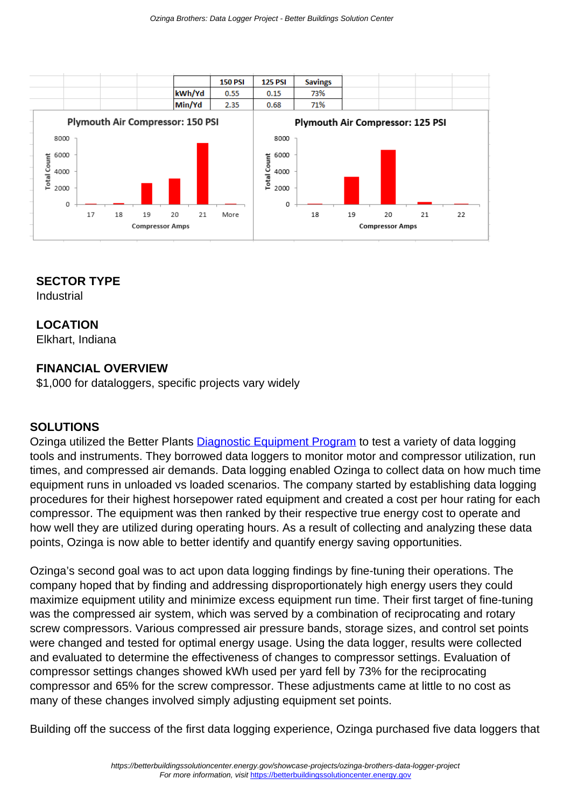

#### **SECTOR TYPE**

Industrial

#### **LOCATION**

Elkhart, Indiana

#### **FINANCIAL OVERVIEW**

\$1,000 for dataloggers, specific projects vary widely

#### **SOLUTIONS**

Ozinga utilized the Better Plants [Diagnostic Equipment Program](https://betterbuildingssolutioncenter.energy.gov/better-plants/technology-solution/field-validation-and-diagnostic-equipment-program) to test a variety of data logging tools and instruments. They borrowed data loggers to monitor motor and compressor utilization, run times, and compressed air demands. Data logging enabled Ozinga to collect data on how much time equipment runs in unloaded vs loaded scenarios. The company started by establishing data logging procedures for their highest horsepower rated equipment and created a cost per hour rating for each compressor. The equipment was then ranked by their respective true energy cost to operate and how well they are utilized during operating hours. As a result of collecting and analyzing these data points, Ozinga is now able to better identify and quantify energy saving opportunities.

Ozinga's second goal was to act upon data logging findings by fine-tuning their operations. The company hoped that by finding and addressing disproportionately high energy users they could maximize equipment utility and minimize excess equipment run time. Their first target of fine-tuning was the compressed air system, which was served by a combination of reciprocating and rotary screw compressors. Various compressed air pressure bands, storage sizes, and control set points were changed and tested for optimal energy usage. Using the data logger, results were collected and evaluated to determine the effectiveness of changes to compressor settings. Evaluation of compressor settings changes showed kWh used per yard fell by 73% for the reciprocating compressor and 65% for the screw compressor. These adjustments came at little to no cost as many of these changes involved simply adjusting equipment set points.

Building off the success of the first data logging experience, Ozinga purchased five data loggers that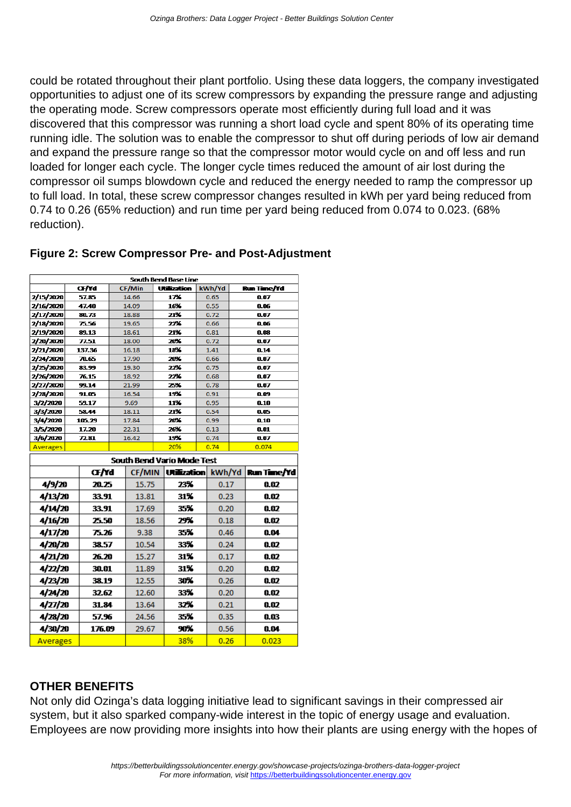could be rotated throughout their plant portfolio. Using these data loggers, the company investigated opportunities to adjust one of its screw compressors by expanding the pressure range and adjusting the operating mode. Screw compressors operate most efficiently during full load and it was discovered that this compressor was running a short load cycle and spent 80% of its operating time running idle. The solution was to enable the compressor to shut off during periods of low air demand and expand the pressure range so that the compressor motor would cycle on and off less and run loaded for longer each cycle. The longer cycle times reduced the amount of air lost during the compressor oil sumps blowdown cycle and reduced the energy needed to ramp the compressor up to full load. In total, these screw compressor changes resulted in kWh per yard being reduced from 0.74 to 0.26 (65% reduction) and run time per yard being reduced from 0.074 to 0.023. (68% reduction).

#### **Figure 2: Screw Compressor Pre- and Post-Adjustment**

| South Bend Base Line              |                 |       |                |     |                    |      |              |      |              |  |
|-----------------------------------|-----------------|-------|----------------|-----|--------------------|------|--------------|------|--------------|--|
|                                   | Œ∕Yd            |       | CF/Min         |     | <b>Utilization</b> |      | kWh/Yd       |      | Run Time/Yd  |  |
| 2/15/2020                         | 57.85           |       | 14.66          | 17% |                    |      | 0.65         |      | 0.07         |  |
| 2/16/2020                         | 47.40           |       | 14.09          |     | 16%                | 0.55 |              | 0.06 |              |  |
| 2/17/2020                         | 80.73           |       | 18.88          |     | 21%                | 0.72 |              | 0.07 |              |  |
| <b>2/18/2020</b>                  | 75.56           |       | 19.65          |     | 22%                |      | 0.66         |      | 0.06         |  |
| 2/19/2020                         | 89.13           |       | 18.61          |     | 21%                |      | 0.81         |      | 0.08         |  |
| 2/20/2020                         | 77.51           |       | 18.00          |     | 20%                |      | 0.72         |      | 0.07         |  |
| 2/21/2020                         | 137.36          |       | 16.18          | 18% |                    | 1.41 |              |      | 0.14         |  |
| 2/24/2020                         | 70.65           |       | 17.90          | 20% |                    | 0.66 |              | 0.07 |              |  |
| 2/25/2020                         | 83.99           |       | 19.30          | 22% |                    |      | 0.75         |      | 0.07         |  |
| 2/26/2020                         | 76.15           |       | 18.92          |     | 22%                | 0.68 |              | 0.07 |              |  |
| 2/27/2020                         | 99.14           |       | 21.99          |     | 25%                |      | 0.78         |      | 0.07         |  |
| 2/28/2020                         | 91.05           |       | 16.54          |     | 19%                |      | 0.91         |      | 0.09         |  |
| 3/2/2020                          | 59.17           |       | 9.69           |     | 11%<br>21%         |      | 0.95         |      | 0.10         |  |
| 3/3/2020<br>3/4/2020              | 58.44<br>105.29 |       | 18.11          |     | 20%                |      | 0.54         |      | 0.05         |  |
| 3/5/2020                          | 17.20           |       | 17.84<br>22.31 |     | 26%                |      | 0.99         |      | 0.10<br>0.01 |  |
| 3/6/2020                          | 72.81           | 16.42 |                |     | 19%                |      | 0.13<br>0.74 |      | 0.07         |  |
| Averages                          |                 |       |                |     | 20%                |      | 0.74         |      | 0.074        |  |
|                                   |                 |       |                |     |                    |      |              |      |              |  |
| <b>South Bend Vario Mode Test</b> |                 |       |                |     |                    |      |              |      |              |  |
|                                   | Œ∕Yd            |       | <b>CF/MIN</b>  |     | <b>Utilization</b> |      | kWh/Yd       |      | Run Time/Yd  |  |
| 4/9/20                            | 20.25           |       | 15.75          |     | 23%                |      | 0.17         |      | 0.02         |  |
| 4/13/20                           | 33.91           |       | 13.81          |     | 31%                |      | 0.23         |      | 0.02         |  |
| 4/14/20                           | 33.91           |       | 17.69          |     | 35%                |      | 0.20         |      | 0.02         |  |
| 4/16/20                           | 25.50           |       | 18.56          |     | 29%                |      | 0.18         |      | 0.02         |  |
| 4/17/20                           | 75.26           |       | 9.38           |     | 35%                |      | 0.46         |      | 0.04         |  |
| 4/20/20                           | 38.57           | 10.54 |                |     | 33%                |      | 0.24         |      | 0.02         |  |
| 4/21/20                           | 26.20           |       | 15.27          |     | 31%                |      | 0.17         |      | 0.02         |  |
| 4/22/20                           | 30.O1           |       | 11.89          |     | 31%                |      | 0.20         |      | 0.02         |  |
| 4/23/20                           | 38.19           |       | 12.55          |     | 30%                |      | 0.26         |      | 0.02         |  |
| 4/24/20                           | 32.62           |       | 12.60          |     | 33%                |      | 0.20         |      | 0.02         |  |
| 4/27/20                           | 31.84           |       | 13.64          |     | 32%                |      | 0.21         |      | 0.02         |  |
| 4/28/20                           | 57.96           |       | 24.56          |     | 35%                |      | 0.35         |      | 0.03         |  |
| 4/30/20                           | 176.09          |       | 29.67          |     | 90%                |      | 0.56         |      | 0.04         |  |
| Averages                          |                 |       |                |     | 38%                |      | 0.26         |      | 0.023        |  |

#### **OTHER BENEFITS**

Not only did Ozinga's data logging initiative lead to significant savings in their compressed air system, but it also sparked company-wide interest in the topic of energy usage and evaluation. Employees are now providing more insights into how their plants are using energy with the hopes of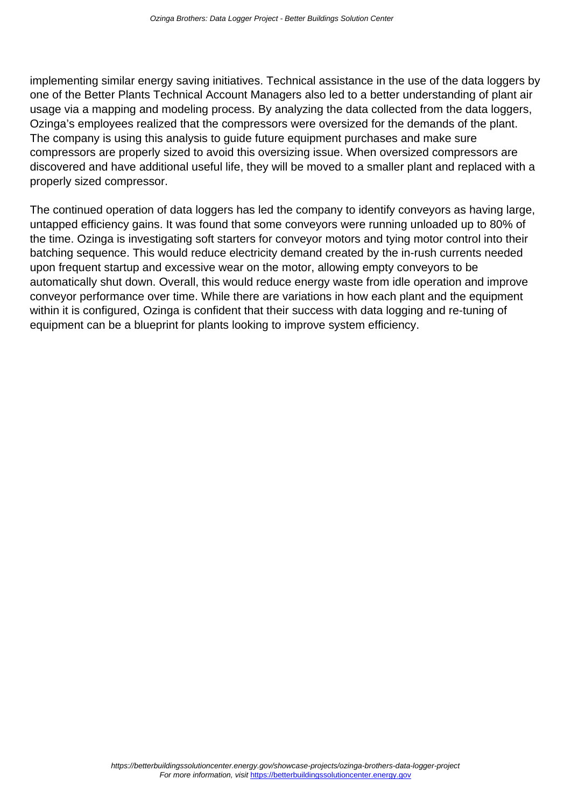implementing similar energy saving initiatives. Technical assistance in the use of the data loggers by one of the Better Plants Technical Account Managers also led to a better understanding of plant air usage via a mapping and modeling process. By analyzing the data collected from the data loggers, Ozinga's employees realized that the compressors were oversized for the demands of the plant. The company is using this analysis to guide future equipment purchases and make sure compressors are properly sized to avoid this oversizing issue. When oversized compressors are discovered and have additional useful life, they will be moved to a smaller plant and replaced with a properly sized compressor.

The continued operation of data loggers has led the company to identify conveyors as having large, untapped efficiency gains. It was found that some conveyors were running unloaded up to 80% of the time. Ozinga is investigating soft starters for conveyor motors and tying motor control into their batching sequence. This would reduce electricity demand created by the in-rush currents needed upon frequent startup and excessive wear on the motor, allowing empty conveyors to be automatically shut down. Overall, this would reduce energy waste from idle operation and improve conveyor performance over time. While there are variations in how each plant and the equipment within it is configured, Ozinga is confident that their success with data logging and re-tuning of equipment can be a blueprint for plants looking to improve system efficiency.